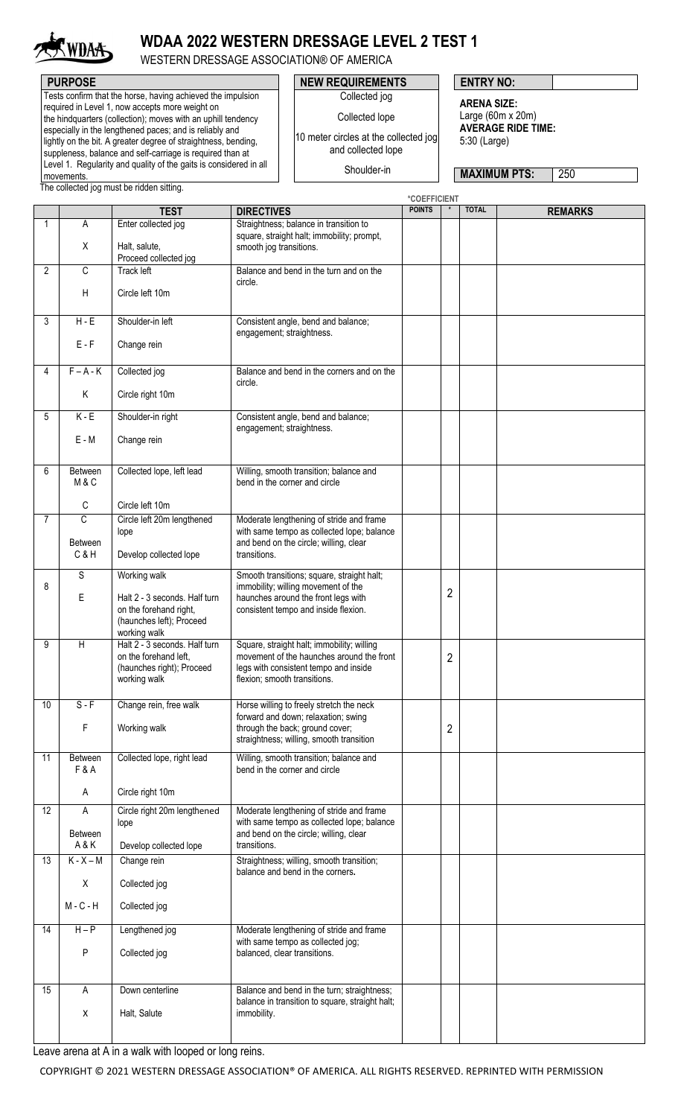

## **WDAA 2022 WESTERN DRESSAGE LEVEL 2 TEST 1**

Collected jog Collected lope 10 meter circles at the collected jog and collected lope Shoulder-in

WESTERN DRESSAGE ASSOCIATION® OF AMERICA

Tests confirm that the horse, having achieved the impulsion required in Level 1, now accepts more weight on the hindquarters (collection); moves with an uphill tendency especially in the lengthened paces; and is reliably and lightly on the bit. A greater degree of straightness, bending, suppleness, balance and self-carriage is required than at Level 1. Regularity and quality of the gaits is considered in all movements.

**PURPOSE PURPOSE ENTRY NO:** 

**ARENA SIZE:** Large (60m x 20m) **AVERAGE RIDE TIME:** 5:30 (Large)

**MAXIMUM PTS:** 250

The collected jog must be ridden sitting.

|                |                           |                               |                                                 | *COEFFICIENT  |                |              |                |
|----------------|---------------------------|-------------------------------|-------------------------------------------------|---------------|----------------|--------------|----------------|
|                |                           | <b>TEST</b>                   | <b>DIRECTIVES</b>                               | <b>POINTS</b> |                | <b>TOTAL</b> | <b>REMARKS</b> |
| 1              | Α                         | Enter collected jog           | Straightness; balance in transition to          |               |                |              |                |
|                |                           |                               |                                                 |               |                |              |                |
|                |                           |                               | square, straight halt; immobility; prompt,      |               |                |              |                |
|                | Χ                         | Halt, salute,                 | smooth jog transitions.                         |               |                |              |                |
|                |                           | Proceed collected jog         |                                                 |               |                |              |                |
| $\overline{2}$ | C                         | Track left                    | Balance and bend in the turn and on the         |               |                |              |                |
|                |                           |                               | circle.                                         |               |                |              |                |
|                | $\boldsymbol{\mathsf{H}}$ | Circle left 10m               |                                                 |               |                |              |                |
|                |                           |                               |                                                 |               |                |              |                |
|                |                           |                               |                                                 |               |                |              |                |
| 3              | $H - E$                   | Shoulder-in left              | Consistent angle, bend and balance;             |               |                |              |                |
|                |                           |                               | engagement; straightness.                       |               |                |              |                |
|                | $E - F$                   | Change rein                   |                                                 |               |                |              |                |
|                |                           |                               |                                                 |               |                |              |                |
|                |                           |                               |                                                 |               |                |              |                |
| 4              | $F - A - K$               | Collected jog                 | Balance and bend in the corners and on the      |               |                |              |                |
|                |                           |                               | circle.                                         |               |                |              |                |
|                | Κ                         | Circle right 10m              |                                                 |               |                |              |                |
|                |                           |                               |                                                 |               |                |              |                |
| 5              | $K - E$                   | Shoulder-in right             | Consistent angle, bend and balance;             |               |                |              |                |
|                |                           |                               | engagement; straightness.                       |               |                |              |                |
|                | $E - M$                   | Change rein                   |                                                 |               |                |              |                |
|                |                           |                               |                                                 |               |                |              |                |
|                |                           |                               |                                                 |               |                |              |                |
| 6              | Between                   | Collected lope, left lead     | Willing, smooth transition; balance and         |               |                |              |                |
|                |                           |                               |                                                 |               |                |              |                |
|                | M&C                       |                               | bend in the corner and circle                   |               |                |              |                |
|                |                           |                               |                                                 |               |                |              |                |
|                | C                         | Circle left 10m               |                                                 |               |                |              |                |
| $\overline{7}$ | C                         | Circle left 20m lengthened    | Moderate lengthening of stride and frame        |               |                |              |                |
|                |                           | lope                          | with same tempo as collected lope; balance      |               |                |              |                |
|                | <b>Between</b>            |                               | and bend on the circle; willing, clear          |               |                |              |                |
|                |                           |                               |                                                 |               |                |              |                |
|                | C&H                       | Develop collected lope        | transitions.                                    |               |                |              |                |
|                |                           |                               |                                                 |               |                |              |                |
|                | S                         | Working walk                  | Smooth transitions; square, straight halt;      |               |                |              |                |
| 8              |                           |                               | immobility; willing movement of the             |               | $\overline{2}$ |              |                |
|                | E.                        | Halt 2 - 3 seconds. Half turn | haunches around the front legs with             |               |                |              |                |
|                |                           | on the forehand right,        | consistent tempo and inside flexion.            |               |                |              |                |
|                |                           | (haunches left); Proceed      |                                                 |               |                |              |                |
|                |                           | working walk                  |                                                 |               |                |              |                |
| 9              | H                         | Halt 2 - 3 seconds. Half turn | Square, straight halt; immobility; willing      |               |                |              |                |
|                |                           |                               | movement of the haunches around the front       |               |                |              |                |
|                |                           | on the forehand left,         |                                                 |               | $\overline{2}$ |              |                |
|                |                           | (haunches right); Proceed     | legs with consistent tempo and inside           |               |                |              |                |
|                |                           | working walk                  | flexion; smooth transitions.                    |               |                |              |                |
|                |                           |                               |                                                 |               |                |              |                |
| 10             | $S - F$                   | Change rein, free walk        | Horse willing to freely stretch the neck        |               |                |              |                |
|                |                           |                               | forward and down; relaxation; swing             |               |                |              |                |
|                | F                         | Working walk                  | through the back; ground cover;                 |               | $\overline{2}$ |              |                |
|                |                           |                               | straightness; willing, smooth transition        |               |                |              |                |
|                |                           |                               |                                                 |               |                |              |                |
| 11             | Between                   | Collected lope, right lead    | Willing, smooth transition; balance and         |               |                |              |                |
|                | F & A                     |                               | bend in the corner and circle                   |               |                |              |                |
|                |                           |                               |                                                 |               |                |              |                |
|                | Α                         | Circle right 10m              |                                                 |               |                |              |                |
|                |                           |                               |                                                 |               |                |              |                |
| 12             | Α                         | Circle right 20m lengthened   | Moderate lengthening of stride and frame        |               |                |              |                |
|                |                           | lope                          | with same tempo as collected lope; balance      |               |                |              |                |
|                | <b>Between</b>            |                               | and bend on the circle; willing, clear          |               |                |              |                |
|                | A&K                       | Develop collected lope        | transitions.                                    |               |                |              |                |
|                |                           |                               |                                                 |               |                |              |                |
| 13             | $K - X - M$               | Change rein                   | Straightness; willing, smooth transition;       |               |                |              |                |
|                |                           |                               | balance and bend in the corners.                |               |                |              |                |
|                | Χ                         | Collected jog                 |                                                 |               |                |              |                |
|                |                           |                               |                                                 |               |                |              |                |
|                | $M - C - H$               | Collected jog                 |                                                 |               |                |              |                |
|                |                           |                               |                                                 |               |                |              |                |
| 14             | $H - P$                   | Lengthened jog                | Moderate lengthening of stride and frame        |               |                |              |                |
|                |                           |                               |                                                 |               |                |              |                |
|                |                           |                               | with same tempo as collected jog;               |               |                |              |                |
|                | P                         | Collected jog                 | balanced, clear transitions.                    |               |                |              |                |
|                |                           |                               |                                                 |               |                |              |                |
|                |                           |                               |                                                 |               |                |              |                |
| 15             | Α                         | Down centerline               | Balance and bend in the turn; straightness;     |               |                |              |                |
|                |                           |                               | balance in transition to square, straight halt; |               |                |              |                |
|                | X                         | Halt, Salute                  | immobility.                                     |               |                |              |                |
|                |                           |                               |                                                 |               |                |              |                |
|                |                           |                               |                                                 |               |                |              |                |
|                |                           |                               |                                                 |               |                |              |                |

Leave arena at A in a walk with looped or long reins.

COPYRIGHT © 2021 WESTERN DRESSAGE ASSOCIATION® OF AMERICA. ALL RIGHTS RESERVED. REPRINTED WITH PERMISSION